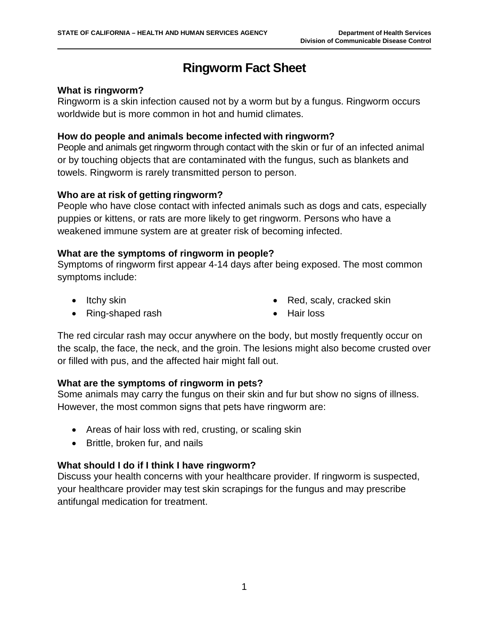# **Ringworm Fact Sheet**

#### **What is ringworm?**

Ringworm is a skin infection caused not by a worm but by a fungus. Ringworm occurs worldwide but is more common in hot and humid climates.

#### **How do people and animals become infected with ringworm?**

People and animals get ringworm through contact with the skin or fur of an infected animal or by touching objects that are contaminated with the fungus, such as blankets and towels. Ringworm is rarely transmitted person to person.

#### **Who are at risk of getting ringworm?**

People who have close contact with infected animals such as dogs and cats, especially puppies or kittens, or rats are more likely to get ringworm. Persons who have a weakened immune system are at greater risk of becoming infected.

#### **What are the symptoms of ringworm in people?**

Symptoms of ringworm first appear 4-14 days after being exposed. The most common symptoms include:

• Itchy skin

• Red, scaly, cracked skin

• Ring-shaped rash

• Hair loss

The red circular rash may occur anywhere on the body, but mostly frequently occur on the scalp, the face, the neck, and the groin. The lesions might also become crusted over or filled with pus, and the affected hair might fall out.

#### **What are the symptoms of ringworm in pets?**

Some animals may carry the fungus on their skin and fur but show no signs of illness. However, the most common signs that pets have ringworm are:

- Areas of hair loss with red, crusting, or scaling skin
- Brittle, broken fur, and nails

#### **What should I do if I think I have ringworm?**

Discuss your health concerns with your healthcare provider. If ringworm is suspected, your healthcare provider may test skin scrapings for the fungus and may prescribe antifungal medication for treatment.